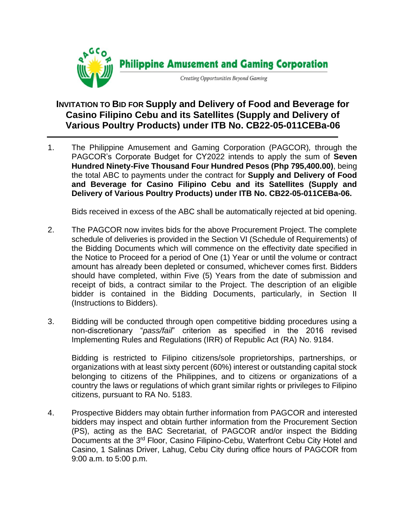

## **INVITATION TO BID FOR Supply and Delivery of Food and Beverage for Casino Filipino Cebu and its Satellites (Supply and Delivery of Various Poultry Products) under ITB No. CB22-05-011CEBa-06**

1. The Philippine Amusement and Gaming Corporation (PAGCOR)*,* through the PAGCOR's Corporate Budget for CY2022 intends to apply the sum of **Seven Hundred Ninety-Five Thousand Four Hundred Pesos (Php 795,400.00)**, being the total ABC to payments under the contract for **Supply and Delivery of Food and Beverage for Casino Filipino Cebu and its Satellites (Supply and Delivery of Various Poultry Products) under ITB No. CB22-05-011CEBa-06.**

Bids received in excess of the ABC shall be automatically rejected at bid opening.

- 2. The PAGCOR now invites bids for the above Procurement Project. The complete schedule of deliveries is provided in the Section VI (Schedule of Requirements) of the Bidding Documents which will commence on the effectivity date specified in the Notice to Proceed for a period of One (1) Year or until the volume or contract amount has already been depleted or consumed, whichever comes first. Bidders should have completed, within Five (5) Years from the date of submission and receipt of bids, a contract similar to the Project. The description of an eligible bidder is contained in the Bidding Documents, particularly, in Section II (Instructions to Bidders).
- 3. Bidding will be conducted through open competitive bidding procedures using a non-discretionary "*pass/fail*" criterion as specified in the 2016 revised Implementing Rules and Regulations (IRR) of Republic Act (RA) No. 9184.

Bidding is restricted to Filipino citizens/sole proprietorships, partnerships, or organizations with at least sixty percent (60%) interest or outstanding capital stock belonging to citizens of the Philippines, and to citizens or organizations of a country the laws or regulations of which grant similar rights or privileges to Filipino citizens, pursuant to RA No. 5183.

4. Prospective Bidders may obtain further information from PAGCOR and interested bidders may inspect and obtain further information from the Procurement Section (PS), acting as the BAC Secretariat, of PAGCOR and/or inspect the Bidding Documents at the 3<sup>rd</sup> Floor, Casino Filipino-Cebu, Waterfront Cebu City Hotel and Casino, 1 Salinas Driver, Lahug, Cebu City during office hours of PAGCOR from 9:00 a.m. to 5:00 p.m.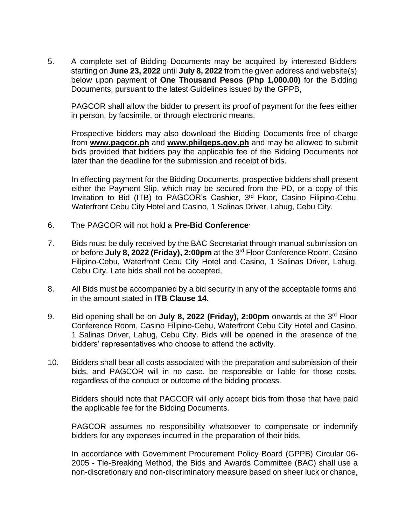5. A complete set of Bidding Documents may be acquired by interested Bidders starting on **June 23, 2022** until **July 8, 2022** from the given address and website(s) below upon payment of **One Thousand Pesos (Php 1,000.00)** for the Bidding Documents, pursuant to the latest Guidelines issued by the GPPB,

PAGCOR shall allow the bidder to present its proof of payment for the fees either in person, by facsimile, or through electronic means.

Prospective bidders may also download the Bidding Documents free of charge from **[www.pagcor.ph](http://www.pagcor.ph/)** and **www.philgeps.gov.ph** and may be allowed to submit bids provided that bidders pay the applicable fee of the Bidding Documents not later than the deadline for the submission and receipt of bids.

In effecting payment for the Bidding Documents, prospective bidders shall present either the Payment Slip, which may be secured from the PD, or a copy of this Invitation to Bid (ITB) to PAGCOR's Cashier, 3<sup>rd</sup> Floor, Casino Filipino-Cebu, Waterfront Cebu City Hotel and Casino, 1 Salinas Driver, Lahug, Cebu City.

- 6. The PAGCOR will not hold a **Pre-Bid Conference.**
- 7. Bids must be duly received by the BAC Secretariat through manual submission on or before July 8, 2022 (Friday), 2:00pm at the 3<sup>rd</sup> Floor Conference Room, Casino Filipino-Cebu, Waterfront Cebu City Hotel and Casino, 1 Salinas Driver, Lahug, Cebu City. Late bids shall not be accepted.
- 8. All Bids must be accompanied by a bid security in any of the acceptable forms and in the amount stated in **ITB Clause 14**.
- 9. Bid opening shall be on **July 8, 2022 (Friday), 2:00pm** onwards at the 3<sup>rd</sup> Floor Conference Room, Casino Filipino-Cebu, Waterfront Cebu City Hotel and Casino, 1 Salinas Driver, Lahug, Cebu City. Bids will be opened in the presence of the bidders' representatives who choose to attend the activity.
- 10. Bidders shall bear all costs associated with the preparation and submission of their bids, and PAGCOR will in no case, be responsible or liable for those costs, regardless of the conduct or outcome of the bidding process.

Bidders should note that PAGCOR will only accept bids from those that have paid the applicable fee for the Bidding Documents.

PAGCOR assumes no responsibility whatsoever to compensate or indemnify bidders for any expenses incurred in the preparation of their bids.

In accordance with Government Procurement Policy Board (GPPB) Circular 06- 2005 - Tie-Breaking Method, the Bids and Awards Committee (BAC) shall use a non-discretionary and non-discriminatory measure based on sheer luck or chance,